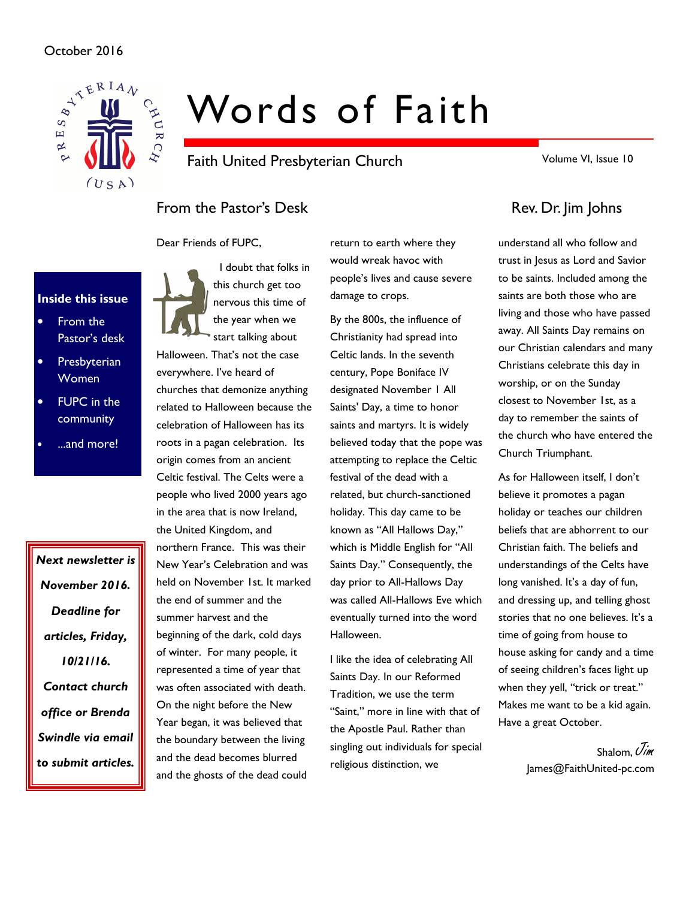## October 2016



# Words of Faith

Faith United Presbyterian Church

Volume VI, Issue 10

# From the Pastor's Desk Rev. Dr. Jim Johns

Dear Friends of FUPC,



- From the Pastor's desk
- **Presbyterian** Women
- **FUPC** in the community
- ...and more!

Next newsletter is November 2016. Deadline for articles, Friday, 10/21/16. Contact church office or Brenda Swindle via email to submit articles.

 I doubt that folks in this church get too nervous this time of the year when we start talking about

Halloween. That's not the case everywhere. I've heard of churches that demonize anything related to Halloween because the celebration of Halloween has its roots in a pagan celebration. Its origin comes from an ancient Celtic festival. The Celts were a people who lived 2000 years ago in the area that is now Ireland, the United Kingdom, and northern France. This was their New Year's Celebration and was held on November 1st. It marked the end of summer and the summer harvest and the beginning of the dark, cold days of winter. For many people, it represented a time of year that was often associated with death. On the night before the New Year began, it was believed that the boundary between the living and the dead becomes blurred and the ghosts of the dead could

return to earth where they would wreak havoc with people's lives and cause severe damage to crops.

By the 800s, the influence of Christianity had spread into Celtic lands. In the seventh century, Pope Boniface IV designated November 1 All Saints' Day, a time to honor saints and martyrs. It is widely believed today that the pope was attempting to replace the Celtic festival of the dead with a related, but church-sanctioned holiday. This day came to be known as "All Hallows Day," which is Middle English for "All Saints Day." Consequently, the day prior to All-Hallows Day was called All-Hallows Eve which eventually turned into the word Halloween.

I like the idea of celebrating All Saints Day. In our Reformed Tradition, we use the term "Saint," more in line with that of the Apostle Paul. Rather than singling out individuals for special religious distinction, we

understand all who follow and trust in Jesus as Lord and Savior to be saints. Included among the saints are both those who are living and those who have passed away. All Saints Day remains on our Christian calendars and many Christians celebrate this day in worship, or on the Sunday closest to November 1st, as a day to remember the saints of the church who have entered the Church Triumphant.

As for Halloween itself, I don't believe it promotes a pagan holiday or teaches our children beliefs that are abhorrent to our Christian faith. The beliefs and understandings of the Celts have long vanished. It's a day of fun, and dressing up, and telling ghost stories that no one believes. It's a time of going from house to house asking for candy and a time of seeing children's faces light up when they yell, "trick or treat." Makes me want to be a kid again. Have a great October.

> Shalom,  $\vec{U}$ im James@FaithUnited-pc.com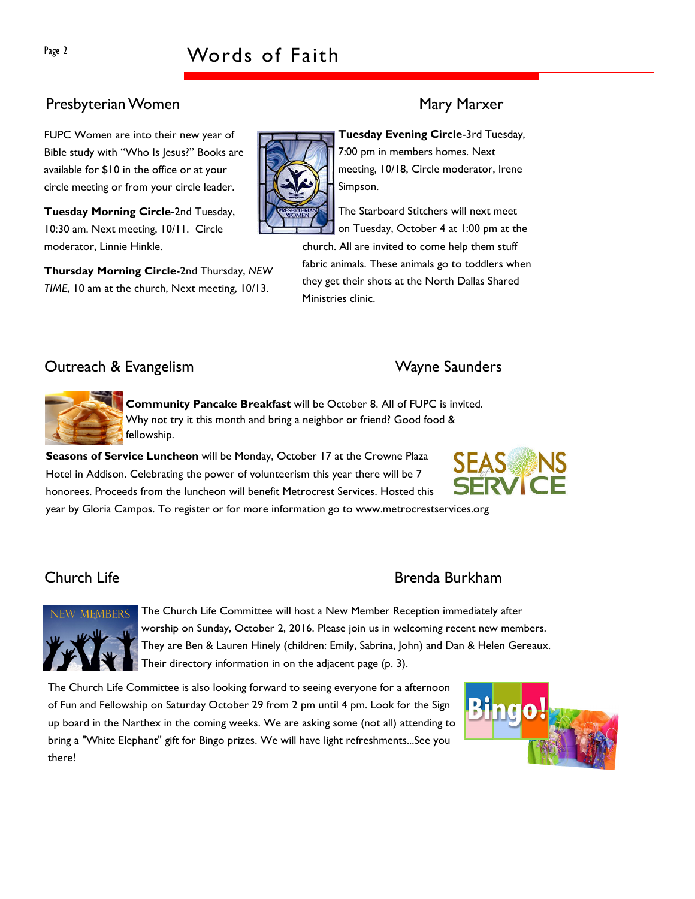# Presbyterian Women Mary Marxer

FUPC Women are into their new year of Bible study with "Who Is Jesus?" Books are available for \$10 in the office or at your circle meeting or from your circle leader.

Tuesday Morning Circle-2nd Tuesday, 10:30 am. Next meeting, 10/11. Circle moderator, Linnie Hinkle.

Thursday Morning Circle-2nd Thursday, NEW TIME, 10 am at the church, Next meeting, 10/13.

Tuesday Evening Circle-3rd Tuesday, 7:00 pm in members homes. Next meeting, 10/18, Circle moderator, Irene Simpson.

The Starboard Stitchers will next meet on Tuesday, October 4 at 1:00 pm at the church. All are invited to come help them stuff fabric animals. These animals go to toddlers when they get their shots at the North Dallas Shared Ministries clinic.

# Outreach & Evangelism and the Controllers of the Wayne Saunders



Community Pancake Breakfast will be October 8. All of FUPC is invited. Why not try it this month and bring a neighbor or friend? Good food & fellowship.

Seasons of Service Luncheon will be Monday, October 17 at the Crowne Plaza Hotel in Addison. Celebrating the power of volunteerism this year there will be 7 honorees. Proceeds from the luncheon will benefit Metrocrest Services. Hosted this year by Gloria Campos. To register or for more information go to www.metrocrestservices.org



# Church Life Brenda Burkham



The Church Life Committee will host a New Member Reception immediately after worship on Sunday, October 2, 2016. Please join us in welcoming recent new members. They are Ben & Lauren Hinely (children: Emily, Sabrina, John) and Dan & Helen Gereaux. Their directory information in on the adjacent page (p. 3).

The Church Life Committee is also looking forward to seeing everyone for a afternoon of Fun and Fellowship on Saturday October 29 from 2 pm until 4 pm. Look for the Sign up board in the Narthex in the coming weeks. We are asking some (not all) attending to bring a "White Elephant" gift for Bingo prizes. We will have light refreshments...See you there!



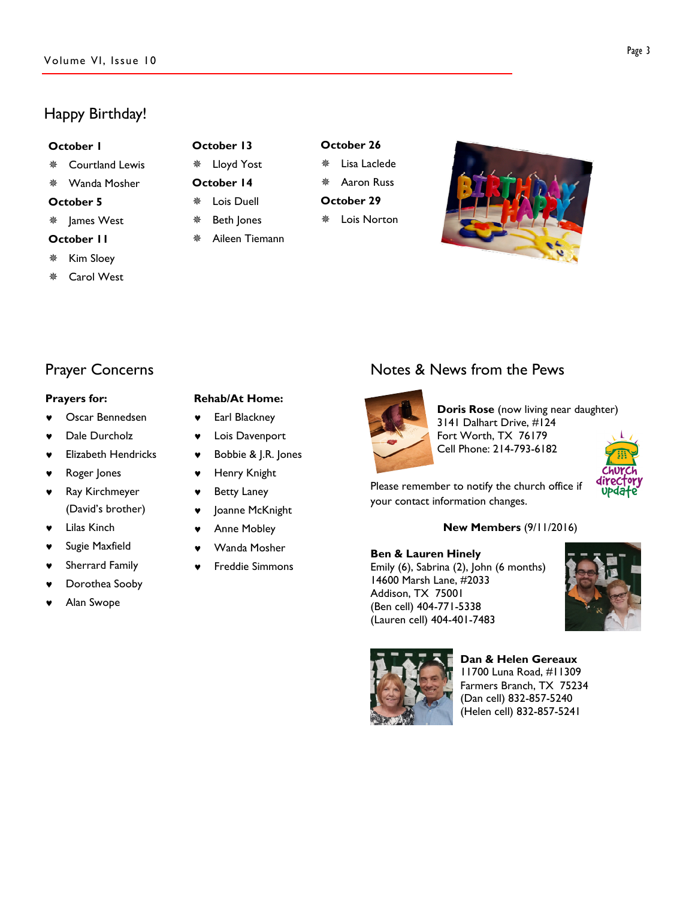# Happy Birthday!

#### October 1

- Courtland Lewis
- Wanda Mosher
- October 5
- James West
- October 11
- Kim Sloey
- Carol West

## October 13 Lloyd Yost

- October 14
- Lois Duell
- Beth Jones
- Aileen Tiemann

# October 26

- Lisa Laclede
- Aaron Russ
- October 29 Lois Norton



# Prayer Concerns

#### Prayers for:

- Oscar Bennedsen
- Dale Durcholz
- **Elizabeth Hendricks**
- Roger Jones
- Ray Kirchmeyer (David's brother)
- **Lilas Kinch**
- Sugie Maxfield
- Sherrard Family
- Dorothea Sooby
- Alan Swope

## Rehab/At Home:

- ♥ Earl Blackney
- ♥ Lois Davenport
- Bobbie & J.R. Jones
- ♥ Henry Knight
- **Betty Laney**
- ♥ Joanne McKnight
- Anne Mobley
- Wanda Mosher
- **Freddie Simmons**

# Notes & News from the Pews



Doris Rose (now living near daughter) 3141 Dalhart Drive, #124 Fort Worth, TX 76179 Cell Phone: 214-793-6182



Please remember to notify the church office if your contact information changes.

### New Members (9/11/2016)

#### Ben & Lauren Hinely

Emily (6), Sabrina (2), John (6 months) 14600 Marsh Lane, #2033 Addison, TX 75001 (Ben cell) 404-771-5338 (Lauren cell) 404-401-7483





Dan & Helen Gereaux 11700 Luna Road, #11309 Farmers Branch, TX 75234 (Dan cell) 832-857-5240 (Helen cell) 832-857-5241